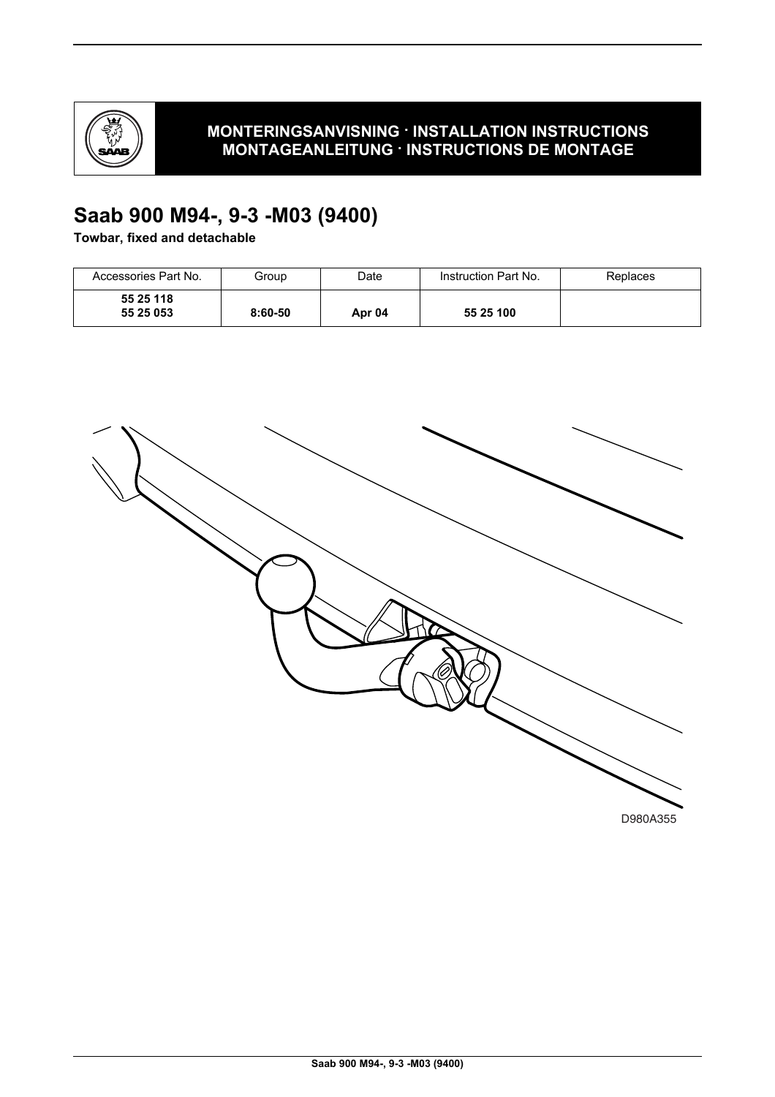

# **MONTERINGSANVISNING · INSTALLATION INSTRUCTIONS MONTAGEANLEITUNG · INSTRUCTIONS DE MONTAGE**

# **Saab 900 M94-, 9-3 -M03 (9400)**

**Towbar, fixed and detachable**

| Accessories Part No.   | Group     | Date   | Instruction Part No. | Replaces |
|------------------------|-----------|--------|----------------------|----------|
| 55 25 118<br>55 25 053 | $8:60-50$ | Apr 04 | 55 25 100            |          |

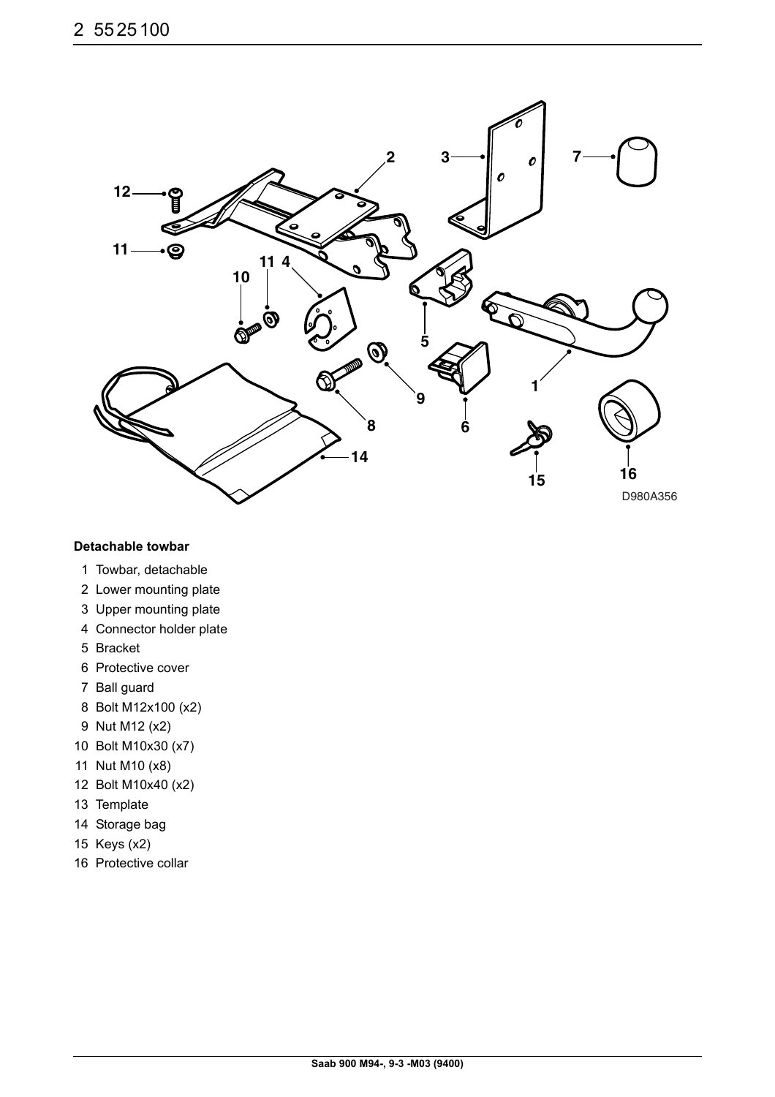

#### **Detachable towbar**

- 1 Towbar, detachable
- 2 Lower mounting plate
- 3 Upper mounting plate
- 4 Connector holder plate
- 5 Bracket
- 6 Protective cover
- 7 Ball guard
- 8 Bolt M12x100 (x2)
- 9 Nut M12 (x2)
- 10 Bolt M10x30 (x7)
- 11 Nut M10 (x8)
- 12 Bolt M10x40 (x2)
- 13 Template
- 14 Storage bag
- 15 Keys (x2)
- 16 Protective collar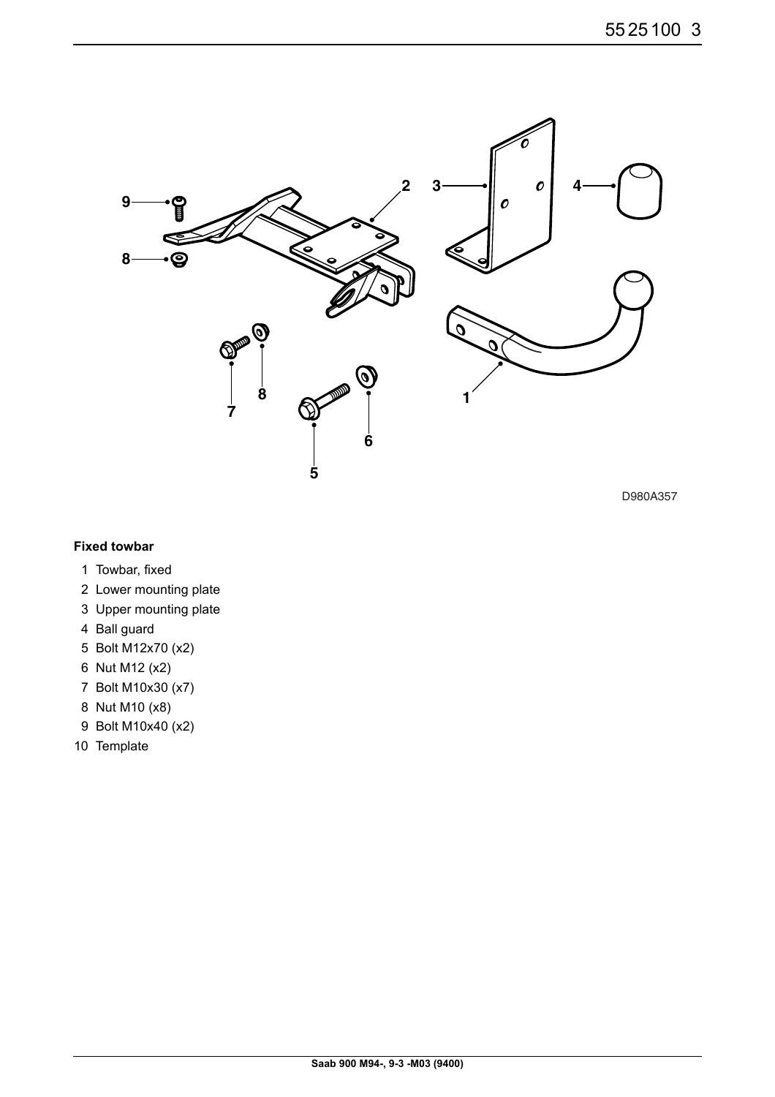

D980A357

#### **Fixed towbar**

- 1 Towbar, fixed
- 2 Lower mounting plate
- 3 Upper mounting plate
- 4 Ball guard
- 5 Bolt M12x70 (x2)
- 6 Nut M12 (x2)
- 7 Bolt M10x30 (x7)
- 8 Nut M10 (x8)
- 9 Bolt M10x40 (x2)
- 10 Template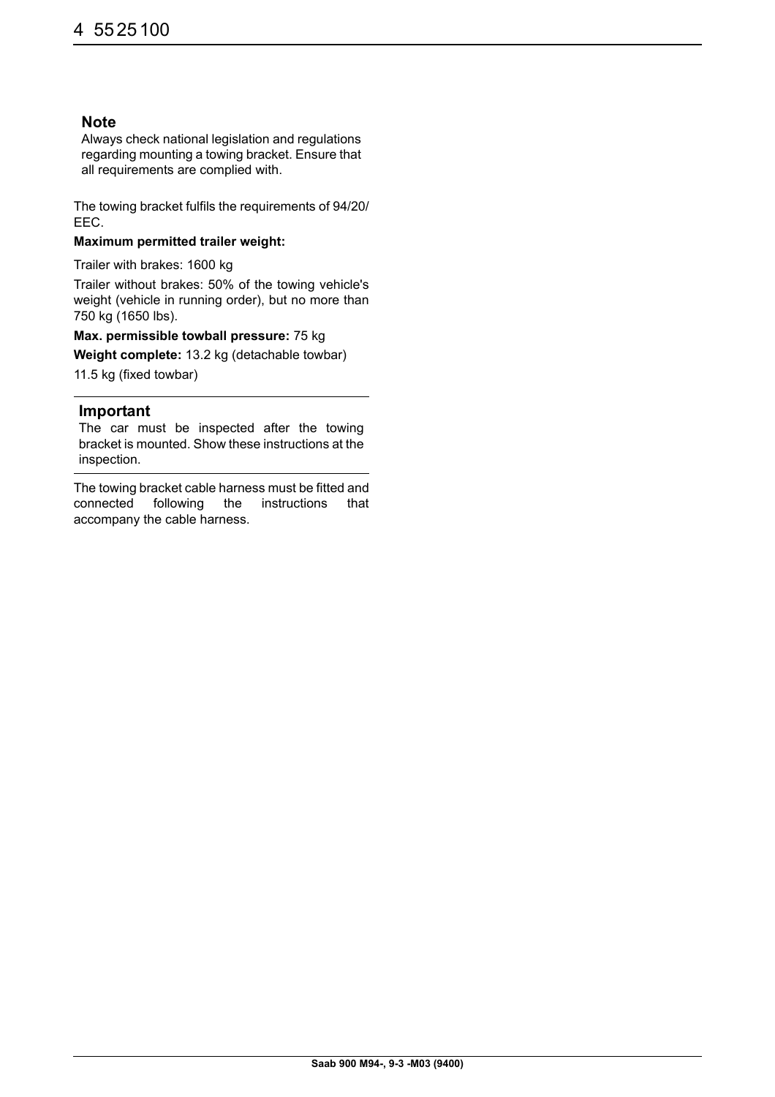### **Note**

Always check national legislation and regulations regarding mounting a towing bracket. Ensure that all requirements are complied with.

The towing bracket fulfils the requirements of 94/20/ EEC.

#### **Maximum permitted trailer weight:**

Trailer with brakes: 1600 kg

Trailer without brakes: 50% of the towing vehicle's weight (vehicle in running order), but no more than 750 kg (1650 lbs).

#### **Max. permissible towball pressure:** 75 kg

**Weight complete:** 13.2 kg (detachable towbar)

11.5 kg (fixed towbar)

#### **Important**

The car must be inspected after the towing bracket is mounted. Show these instructions at the inspection.

The towing bracket cable harness must be fitted and connected following the instructions that accompany the cable harness.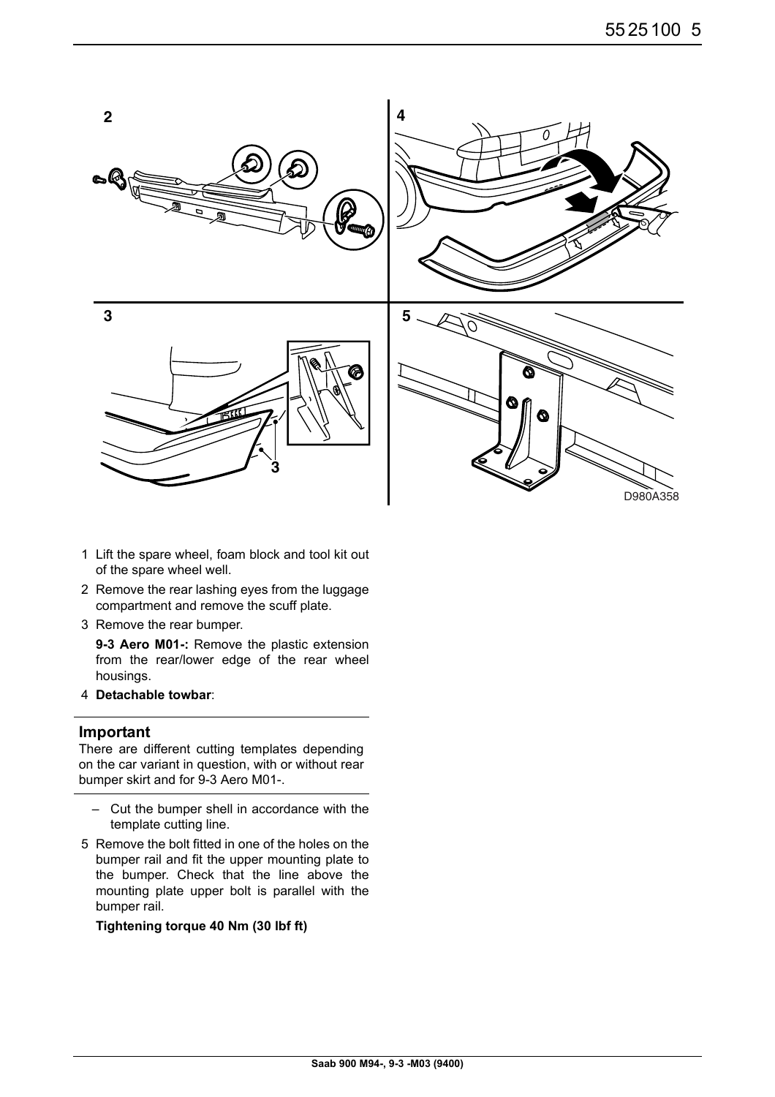

- 1 Lift the spare wheel, foam block and tool kit out of the spare wheel well.
- 2 Remove the rear lashing eyes from the luggage compartment and remove the scuff plate.
- 3 Remove the rear bumper.

**9-3 Aero M01-:** Remove the plastic extension from the rear/lower edge of the rear wheel housings.

4 **Detachable towbar**:

#### **Important**

There are different cutting templates depending on the car variant in question, with or without rear bumper skirt and for 9-3 Aero M01-.

- Cut the bumper shell in accordance with the template cutting line.
- 5 Remove the bolt fitted in one of the holes on the bumper rail and fit the upper mounting plate to the bumper. Check that the line above the mounting plate upper bolt is parallel with the bumper rail.

**Tightening torque 40 Nm (30 lbf ft)**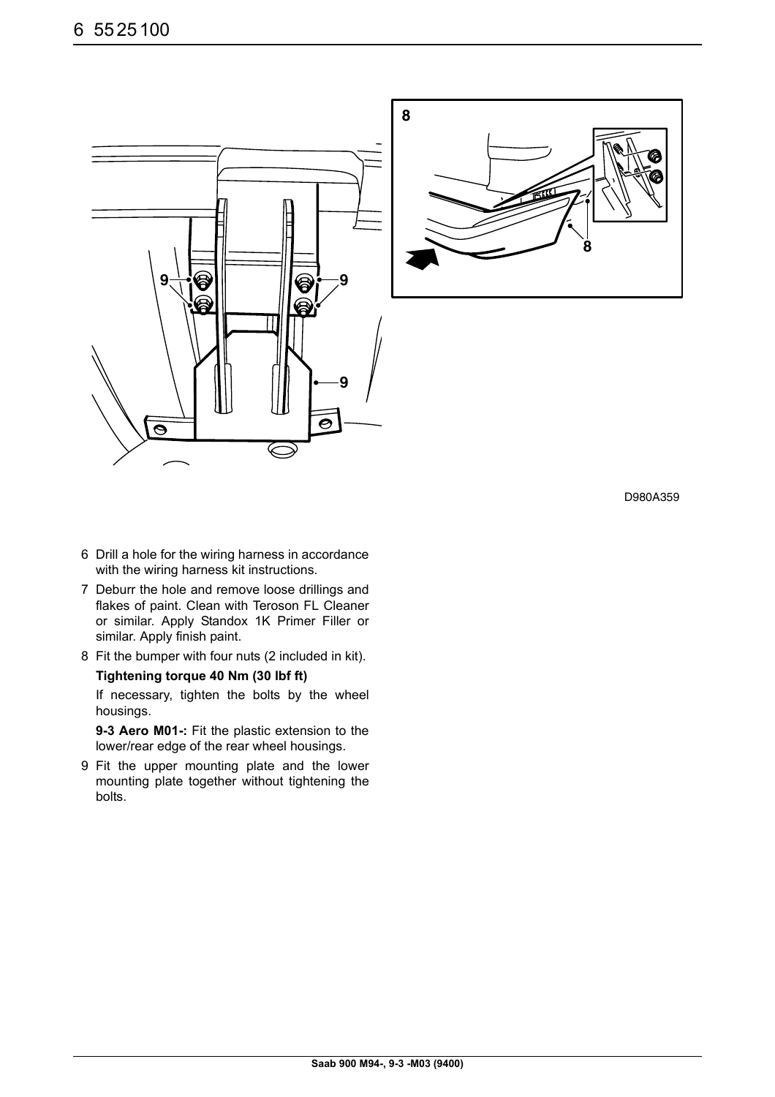



D980A359

- 6 Drill a hole for the wiring harness in accordance with the wiring harness kit instructions.
- 7 Deburr the hole and remove loose drillings and flakes of paint. Clean with Teroson FL Cleaner or similar. Apply Standox 1K Primer Filler or similar. Apply finish paint.
- 8 Fit the bumper with four nuts (2 included in kit).

#### **Tightening torque 40 Nm (30 lbf ft)**

If necessary, tighten the bolts by the wheel housings.

**9-3 Aero M01-:** Fit the plastic extension to the lower/rear edge of the rear wheel housings.

9 Fit the upper mounting plate and the lower mounting plate together without tightening the bolts.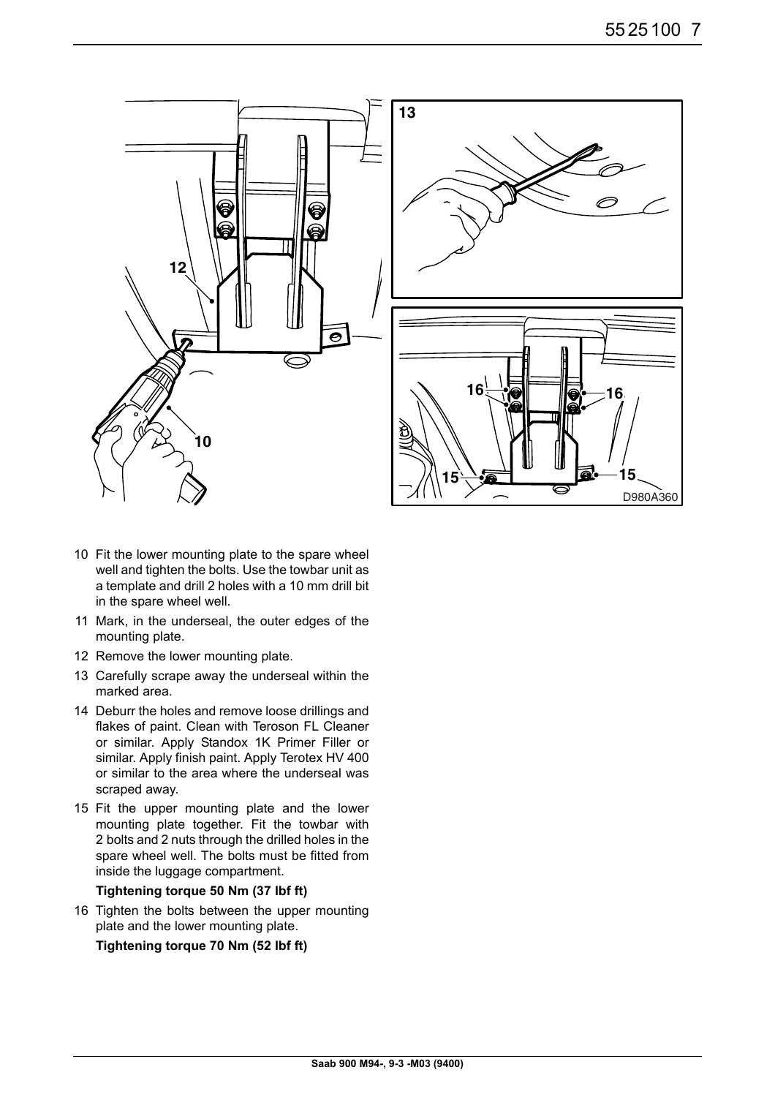



- 10 Fit the lower mounting plate to the spare wheel well and tighten the bolts. Use the towbar unit as a template and drill 2 holes with a 10 mm drill bit in the spare wheel well.
- 11 Mark, in the underseal, the outer edges of the mounting plate.
- 12 Remove the lower mounting plate.
- 13 Carefully scrape away the underseal within the marked area.
- 14 Deburr the holes and remove loose drillings and flakes of paint. Clean with Teroson FL Cleaner or similar. Apply Standox 1K Primer Filler or similar. Apply finish paint. Apply Terotex HV 400 or similar to the area where the underseal was scraped away.
- 15 Fit the upper mounting plate and the lower mounting plate together. Fit the towbar with 2 bolts and 2 nuts through the drilled holes in the spare wheel well. The bolts must be fitted from inside the luggage compartment.

**Tightening torque 50 Nm (37 lbf ft)**

16 Tighten the bolts between the upper mounting plate and the lower mounting plate.

**Tightening torque 70 Nm (52 lbf ft)**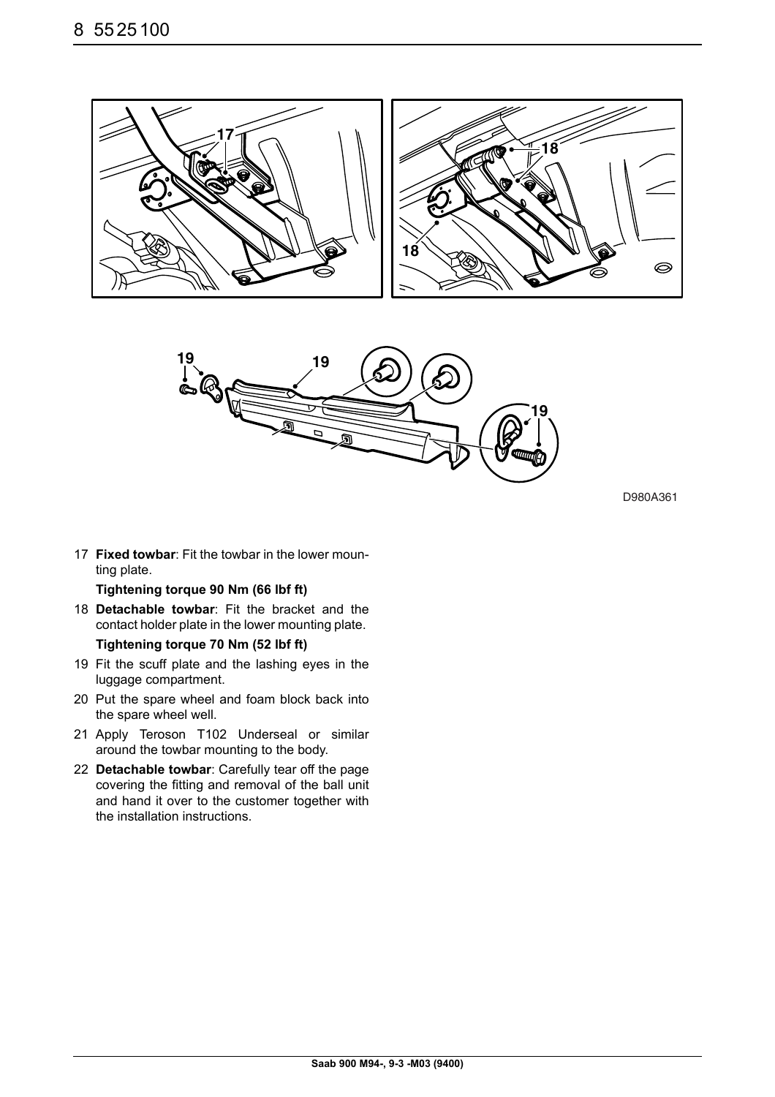



D980A361

17 **Fixed towbar**: Fit the towbar in the lower mounting plate.

**Tightening torque 90 Nm (66 lbf ft)**

- 18 **Detachable towbar**: Fit the bracket and the contact holder plate in the lower mounting plate. **Tightening torque 70 Nm (52 lbf ft)**
- 19 Fit the scuff plate and the lashing eyes in the luggage compartment.
- 20 Put the spare wheel and foam block back into the spare wheel well.
- 21 Apply Teroson T102 Underseal or similar around the towbar mounting to the body.
- 22 **Detachable towbar**: Carefully tear off the page covering the fitting and removal of the ball unit and hand it over to the customer together with the installation instructions.